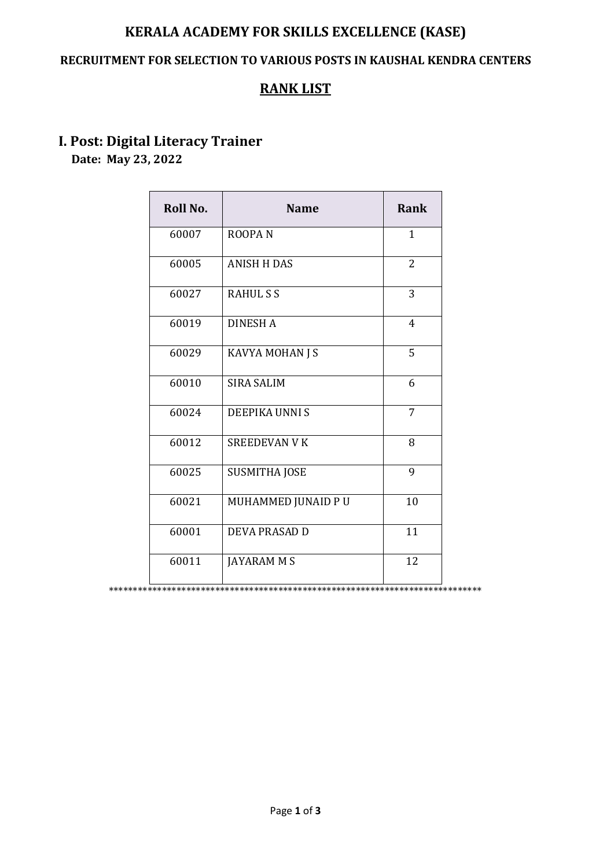## **KERALA ACADEMY FOR SKILLS EXCELLENCE (KASE)**

#### **RECRUITMENT FOR SELECTION TO VARIOUS POSTS IN KAUSHAL KENDRA CENTERS**

## **RANK LIST**

# **I. Post: Digital Literacy Trainer**

 **Date: May 23, 2022**

| Roll No. | <b>Name</b>          | <b>Rank</b>    |
|----------|----------------------|----------------|
| 60007    | <b>ROOPAN</b>        | 1              |
| 60005    | <b>ANISH H DAS</b>   | $\overline{2}$ |
| 60027    | <b>RAHULSS</b>       | 3              |
| 60019    | <b>DINESH A</b>      | $\overline{4}$ |
| 60029    | KAVYA MOHAN J S      | 5              |
| 60010    | <b>SIRA SALIM</b>    | 6              |
| 60024    | DEEPIKA UNNI S       | 7              |
| 60012    | <b>SREEDEVAN V K</b> | 8              |
| 60025    | <b>SUSMITHA JOSE</b> | 9              |
| 60021    | MUHAMMED JUNAID PU   | 10             |
| 60001    | <b>DEVA PRASAD D</b> | 11             |
| 60011    | <b>JAYARAM M S</b>   | 12             |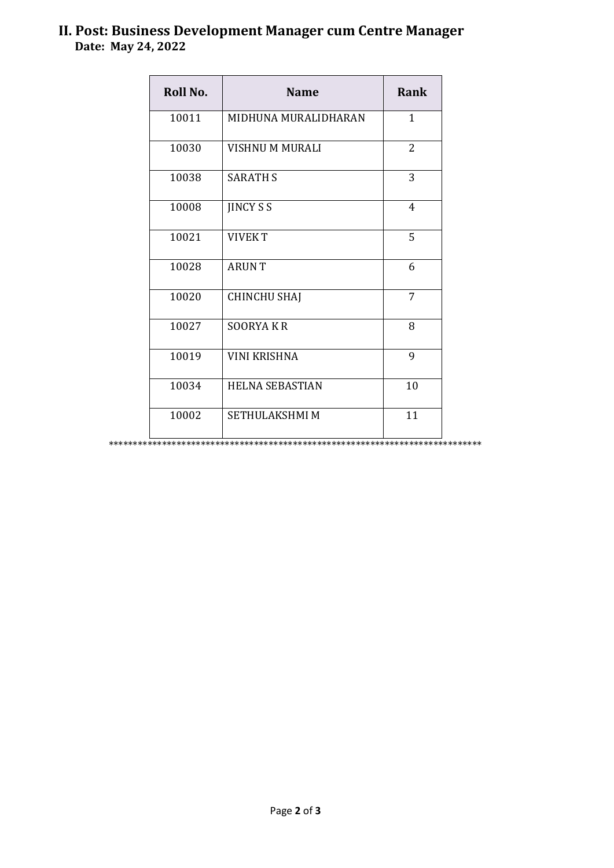### **II. Post: Business Development Manager cum Centre Manager Date: May 24, 2022**

| Roll No. | <b>Name</b>            | Rank           |
|----------|------------------------|----------------|
| 10011    | MIDHUNA MURALIDHARAN   | $\mathbf{1}$   |
| 10030    | VISHNU M MURALI        | $\overline{2}$ |
| 10038    | <b>SARATH S</b>        | 3              |
| 10008    | <b>JINCY S S</b>       | $\overline{4}$ |
| 10021    | <b>VIVEKT</b>          | 5              |
| 10028    | <b>ARUNT</b>           | 6              |
| 10020    | <b>CHINCHU SHAJ</b>    | 7              |
| 10027    | <b>SOORYAKR</b>        | 8              |
| 10019    | <b>VINI KRISHNA</b>    | 9              |
| 10034    | <b>HELNA SEBASTIAN</b> | 10             |
| 10002    | <b>SETHULAKSHMI M</b>  | 11             |